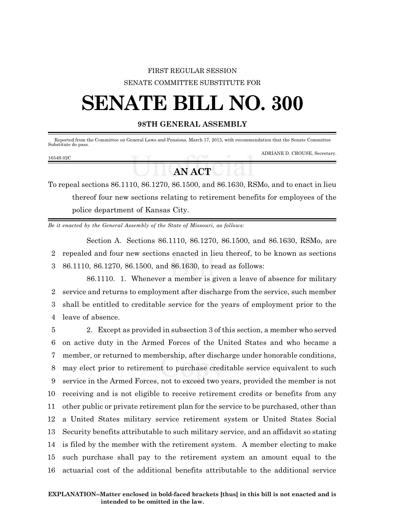## FIRST REGULAR SESSION SENATE COMMITTEE SUBSTITUTE FOR

# **SENATE BILL NO. 300**

### **98TH GENERAL ASSEMBLY**

Reported from the Committee on General Laws and Pensions, March 17, 2015, with recommendation that the Senate Committee Substitute do pass.

ADRIANE D. CROUSE, Secretary.

# **AN ACT**

To repeal sections 86.1110, 86.1270, 86.1500, and 86.1630, RSMo, and to enact in lieu thereof four new sections relating to retirement benefits for employees of the police department of Kansas City.

*Be it enacted by the General Assembly of the State of Missouri, as follows:*

Section A. Sections 86.1110, 86.1270, 86.1500, and 86.1630, RSMo, are 2 repealed and four new sections enacted in lieu thereof, to be known as sections 3 86.1110, 86.1270, 86.1500, and 86.1630, to read as follows:

86.1110. 1. Whenever a member is given a leave of absence for military service and returns to employment after discharge from the service, such member shall be entitled to creditable service for the years of employment prior to the leave of absence.

 2. Except as provided in subsection 3 of this section, a member who served on active duty in the Armed Forces of the United States and who became a member, or returned to membership, after discharge under honorable conditions, may elect prior to retirement to purchase creditable service equivalent to such service in the Armed Forces, not to exceed two years, provided the member is not receiving and is not eligible to receive retirement credits or benefits from any other public or private retirement plan for the service to be purchased, other than a United States military service retirement system or United States Social Security benefits attributable to such military service, and an affidavit so stating is filed by the member with the retirement system. A member electing to make such purchase shall pay to the retirement system an amount equal to the actuarial cost of the additional benefits attributable to the additional service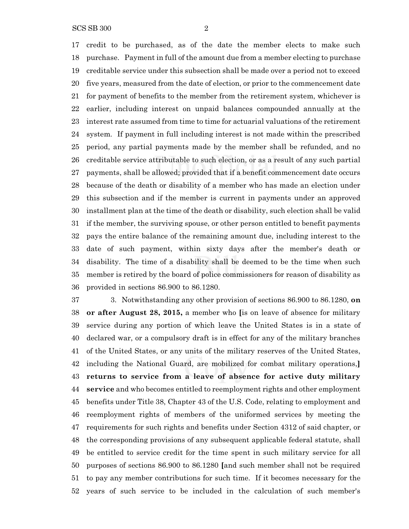SCS SB 300 2

 credit to be purchased, as of the date the member elects to make such purchase. Payment in full of the amount due from a member electing to purchase

 creditable service under this subsection shall be made over a period not to exceed five years, measured from the date of election, or prior to the commencement date for payment of benefits to the member from the retirement system, whichever is earlier, including interest on unpaid balances compounded annually at the interest rate assumed from time to time for actuarial valuations of the retirement system. If payment in full including interest is not made within the prescribed period, any partial payments made by the member shall be refunded, and no creditable service attributable to such election, or as a result of any such partial payments, shall be allowed; provided that if a benefit commencement date occurs because of the death or disability of a member who has made an election under this subsection and if the member is current in payments under an approved installment plan at the time of the death or disability, such election shall be valid if the member, the surviving spouse, or other person entitled to benefit payments pays the entire balance of the remaining amount due, including interest to the date of such payment, within sixty days after the member's death or disability. The time of a disability shall be deemed to be the time when such member is retired by the board of police commissioners for reason of disability as provided in sections 86.900 to 86.1280.

 3. Notwithstanding any other provision of sections 86.900 to 86.1280, **on or after August 28, 2015,** a member who **[**is on leave of absence for military service during any portion of which leave the United States is in a state of declared war, or a compulsory draft is in effect for any of the military branches of the United States, or any units of the military reserves of the United States, including the National Guard, are mobilized for combat military operations,**] returns to service from a leave of absence for active duty military service** and who becomes entitled to reemployment rights and other employment benefits under Title 38, Chapter 43 of the U.S. Code, relating to employment and reemployment rights of members of the uniformed services by meeting the requirements for such rights and benefits under Section 4312 of said chapter, or the corresponding provisions of any subsequent applicable federal statute, shall be entitled to service credit for the time spent in such military service for all purposes of sections 86.900 to 86.1280 **[**and such member shall not be required to pay any member contributions for such time. If it becomes necessary for the years of such service to be included in the calculation of such member's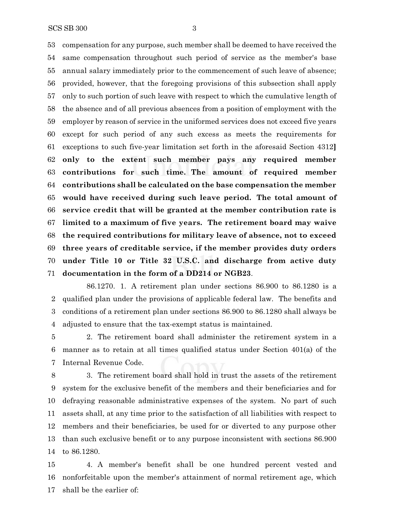compensation for any purpose, such member shall be deemed to have received the same compensation throughout such period of service as the member's base annual salary immediately prior to the commencement of such leave of absence; provided, however, that the foregoing provisions of this subsection shall apply only to such portion of such leave with respect to which the cumulative length of the absence and of all previous absences from a position of employment with the employer by reason of service in the uniformed services does not exceed five years except for such period of any such excess as meets the requirements for exceptions to such five-year limitation set forth in the aforesaid Section 4312**] only to the extent such member pays any required member contributions for such time. The amount of required member contributions shall be calculated on the base compensation the member would have received during such leave period. The total amount of service credit that will be granted at the member contribution rate is limited to a maximum of five years. The retirement board may waive the required contributions for military leave of absence, not to exceed three years of creditable service, if the member provides duty orders under Title 10 or Title 32 U.S.C. and discharge from active duty documentation in the form of a DD214 or NGB23**.

86.1270. 1. A retirement plan under sections 86.900 to 86.1280 is a qualified plan under the provisions of applicable federal law. The benefits and conditions of a retirement plan under sections 86.900 to 86.1280 shall always be adjusted to ensure that the tax-exempt status is maintained.

 2. The retirement board shall administer the retirement system in a manner as to retain at all times qualified status under Section 401(a) of the Internal Revenue Code.

 3. The retirement board shall hold in trust the assets of the retirement system for the exclusive benefit of the members and their beneficiaries and for defraying reasonable administrative expenses of the system. No part of such assets shall, at any time prior to the satisfaction of all liabilities with respect to members and their beneficiaries, be used for or diverted to any purpose other than such exclusive benefit or to any purpose inconsistent with sections 86.900 to 86.1280.

 4. A member's benefit shall be one hundred percent vested and nonforfeitable upon the member's attainment of normal retirement age, which shall be the earlier of: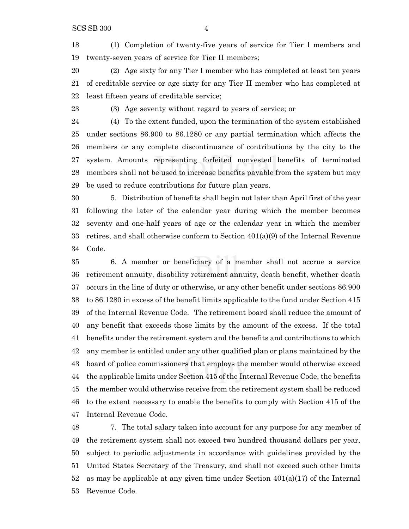(1) Completion of twenty-five years of service for Tier I members and twenty-seven years of service for Tier II members;

 (2) Age sixty for any Tier I member who has completed at least ten years of creditable service or age sixty for any Tier II member who has completed at least fifteen years of creditable service;

(3) Age seventy without regard to years of service; or

 (4) To the extent funded, upon the termination of the system established under sections 86.900 to 86.1280 or any partial termination which affects the members or any complete discontinuance of contributions by the city to the system. Amounts representing forfeited nonvested benefits of terminated members shall not be used to increase benefits payable from the system but may be used to reduce contributions for future plan years.

 5. Distribution of benefits shall begin not later than April first of the year following the later of the calendar year during which the member becomes seventy and one-half years of age or the calendar year in which the member retires, and shall otherwise conform to Section 401(a)(9) of the Internal Revenue Code.

 6. A member or beneficiary of a member shall not accrue a service retirement annuity, disability retirement annuity, death benefit, whether death occurs in the line of duty or otherwise, or any other benefit under sections 86.900 to 86.1280 in excess of the benefit limits applicable to the fund under Section 415 of the Internal Revenue Code. The retirement board shall reduce the amount of any benefit that exceeds those limits by the amount of the excess. If the total benefits under the retirement system and the benefits and contributions to which any member is entitled under any other qualified plan or plans maintained by the board of police commissioners that employs the member would otherwise exceed the applicable limits under Section 415 of the Internal Revenue Code, the benefits the member would otherwise receive from the retirement system shall be reduced to the extent necessary to enable the benefits to comply with Section 415 of the Internal Revenue Code.

 7. The total salary taken into account for any purpose for any member of the retirement system shall not exceed two hundred thousand dollars per year, subject to periodic adjustments in accordance with guidelines provided by the United States Secretary of the Treasury, and shall not exceed such other limits 52 as may be applicable at any given time under Section  $401(a)(17)$  of the Internal Revenue Code.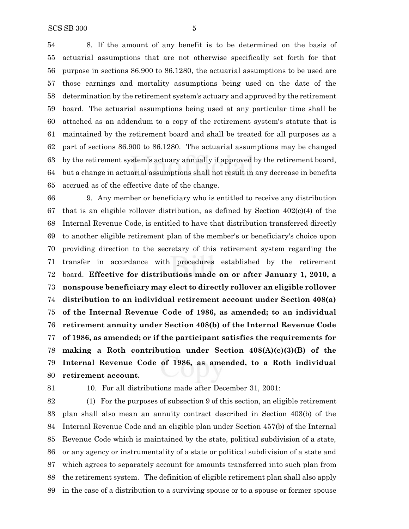8. If the amount of any benefit is to be determined on the basis of actuarial assumptions that are not otherwise specifically set forth for that purpose in sections 86.900 to 86.1280, the actuarial assumptions to be used are those earnings and mortality assumptions being used on the date of the determination by the retirement system's actuary and approved by the retirement board. The actuarial assumptions being used at any particular time shall be attached as an addendum to a copy of the retirement system's statute that is maintained by the retirement board and shall be treated for all purposes as a part of sections 86.900 to 86.1280. The actuarial assumptions may be changed by the retirement system's actuary annually if approved by the retirement board, but a change in actuarial assumptions shall not result in any decrease in benefits accrued as of the effective date of the change.

 9. Any member or beneficiary who is entitled to receive any distribution 67 that is an eligible rollover distribution, as defined by Section  $402(c)(4)$  of the Internal Revenue Code, is entitled to have that distribution transferred directly to another eligible retirement plan of the member's or beneficiary's choice upon providing direction to the secretary of this retirement system regarding the transfer in accordance with procedures established by the retirement board. **Effective for distributions made on or after January 1, 2010, a nonspouse beneficiary may elect to directly rollover an eligible rollover distribution to an individual retirement account under Section 408(a) of the Internal Revenue Code of 1986, as amended; to an individual retirement annuity under Section 408(b) of the Internal Revenue Code of 1986, as amended; or if the participant satisfies the requirements for making a Roth contribution under Section 408(A)(c)(3)(B) of the Internal Revenue Code of 1986, as amended, to a Roth individual retirement account.**

10. For all distributions made after December 31, 2001:

 (1) For the purposes of subsection 9 of this section, an eligible retirement plan shall also mean an annuity contract described in Section 403(b) of the Internal Revenue Code and an eligible plan under Section 457(b) of the Internal Revenue Code which is maintained by the state, political subdivision of a state, or any agency or instrumentality of a state or political subdivision of a state and which agrees to separately account for amounts transferred into such plan from the retirement system. The definition of eligible retirement plan shall also apply in the case of a distribution to a surviving spouse or to a spouse or former spouse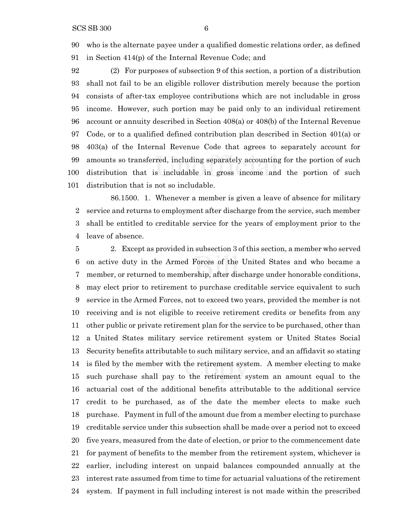who is the alternate payee under a qualified domestic relations order, as defined in Section 414(p) of the Internal Revenue Code; and

 (2) For purposes of subsection 9 of this section, a portion of a distribution shall not fail to be an eligible rollover distribution merely because the portion consists of after-tax employee contributions which are not includable in gross income. However, such portion may be paid only to an individual retirement account or annuity described in Section 408(a) or 408(b) of the Internal Revenue Code, or to a qualified defined contribution plan described in Section 401(a) or 403(a) of the Internal Revenue Code that agrees to separately account for amounts so transferred, including separately accounting for the portion of such distribution that is includable in gross income and the portion of such distribution that is not so includable.

86.1500. 1. Whenever a member is given a leave of absence for military service and returns to employment after discharge from the service, such member shall be entitled to creditable service for the years of employment prior to the leave of absence.

 2. Except as provided in subsection 3 of this section, a member who served on active duty in the Armed Forces of the United States and who became a member, or returned to membership, after discharge under honorable conditions, may elect prior to retirement to purchase creditable service equivalent to such service in the Armed Forces, not to exceed two years, provided the member is not receiving and is not eligible to receive retirement credits or benefits from any other public or private retirement plan for the service to be purchased, other than a United States military service retirement system or United States Social Security benefits attributable to such military service, and an affidavit so stating is filed by the member with the retirement system. A member electing to make such purchase shall pay to the retirement system an amount equal to the actuarial cost of the additional benefits attributable to the additional service credit to be purchased, as of the date the member elects to make such purchase. Payment in full of the amount due from a member electing to purchase creditable service under this subsection shall be made over a period not to exceed five years, measured from the date of election, or prior to the commencement date for payment of benefits to the member from the retirement system, whichever is earlier, including interest on unpaid balances compounded annually at the interest rate assumed from time to time for actuarial valuations of the retirement system. If payment in full including interest is not made within the prescribed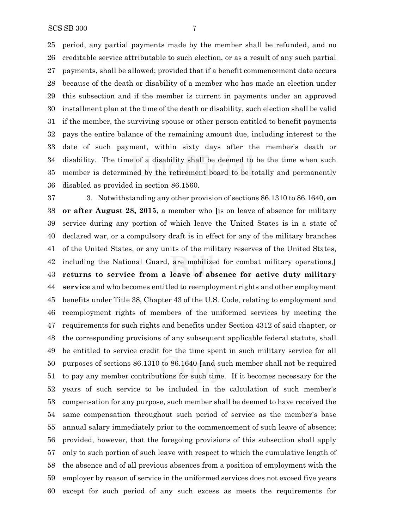period, any partial payments made by the member shall be refunded, and no creditable service attributable to such election, or as a result of any such partial payments, shall be allowed; provided that if a benefit commencement date occurs because of the death or disability of a member who has made an election under this subsection and if the member is current in payments under an approved installment plan at the time of the death or disability, such election shall be valid if the member, the surviving spouse or other person entitled to benefit payments pays the entire balance of the remaining amount due, including interest to the date of such payment, within sixty days after the member's death or disability. The time of a disability shall be deemed to be the time when such member is determined by the retirement board to be totally and permanently disabled as provided in section 86.1560.

 3. Notwithstanding any other provision of sections 86.1310 to 86.1640, **on or after August 28, 2015,** a member who **[**is on leave of absence for military service during any portion of which leave the United States is in a state of declared war, or a compulsory draft is in effect for any of the military branches of the United States, or any units of the military reserves of the United States, including the National Guard, are mobilized for combat military operations,**] returns to service from a leave of absence for active duty military service** and who becomes entitled to reemployment rights and other employment benefits under Title 38, Chapter 43 of the U.S. Code, relating to employment and reemployment rights of members of the uniformed services by meeting the requirements for such rights and benefits under Section 4312 of said chapter, or the corresponding provisions of any subsequent applicable federal statute, shall be entitled to service credit for the time spent in such military service for all purposes of sections 86.1310 to 86.1640 **[**and such member shall not be required to pay any member contributions for such time. If it becomes necessary for the years of such service to be included in the calculation of such member's compensation for any purpose, such member shall be deemed to have received the same compensation throughout such period of service as the member's base annual salary immediately prior to the commencement of such leave of absence; provided, however, that the foregoing provisions of this subsection shall apply only to such portion of such leave with respect to which the cumulative length of the absence and of all previous absences from a position of employment with the employer by reason of service in the uniformed services does not exceed five years except for such period of any such excess as meets the requirements for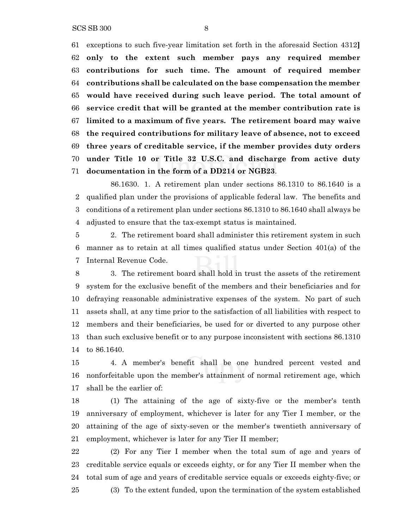SCS SB 300 8

 exceptions to such five-year limitation set forth in the aforesaid Section 4312**] only to the extent such member pays any required member contributions for such time. The amount of required member contributions shall be calculated on the base compensation the member would have received during such leave period. The total amount of service credit that will be granted at the member contribution rate is limited to a maximum of five years. The retirement board may waive the required contributions for military leave of absence, not to exceed three years of creditable service, if the member provides duty orders under Title 10 or Title 32 U.S.C. and discharge from active duty documentation in the form of a DD214 or NGB23**.

86.1630. 1. A retirement plan under sections 86.1310 to 86.1640 is a qualified plan under the provisions of applicable federal law. The benefits and conditions of a retirement plan under sections 86.1310 to 86.1640 shall always be adjusted to ensure that the tax-exempt status is maintained.

 2. The retirement board shall administer this retirement system in such manner as to retain at all times qualified status under Section 401(a) of the Internal Revenue Code.

 3. The retirement board shall hold in trust the assets of the retirement system for the exclusive benefit of the members and their beneficiaries and for defraying reasonable administrative expenses of the system. No part of such assets shall, at any time prior to the satisfaction of all liabilities with respect to members and their beneficiaries, be used for or diverted to any purpose other than such exclusive benefit or to any purpose inconsistent with sections 86.1310 to 86.1640.

 4. A member's benefit shall be one hundred percent vested and nonforfeitable upon the member's attainment of normal retirement age, which shall be the earlier of:

 (1) The attaining of the age of sixty-five or the member's tenth anniversary of employment, whichever is later for any Tier I member, or the attaining of the age of sixty-seven or the member's twentieth anniversary of employment, whichever is later for any Tier II member;

 (2) For any Tier I member when the total sum of age and years of creditable service equals or exceeds eighty, or for any Tier II member when the total sum of age and years of creditable service equals or exceeds eighty-five; or (3) To the extent funded, upon the termination of the system established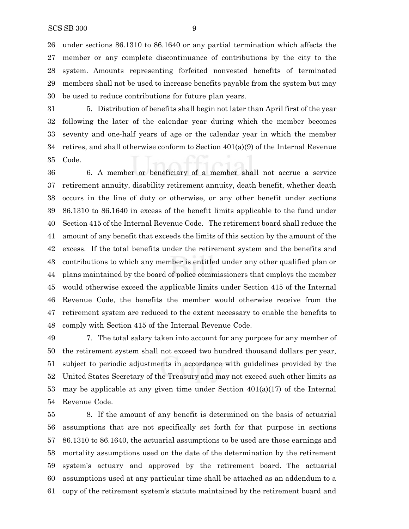under sections 86.1310 to 86.1640 or any partial termination which affects the member or any complete discontinuance of contributions by the city to the system. Amounts representing forfeited nonvested benefits of terminated members shall not be used to increase benefits payable from the system but may be used to reduce contributions for future plan years.

 5. Distribution of benefits shall begin not later than April first of the year following the later of the calendar year during which the member becomes seventy and one-half years of age or the calendar year in which the member 34 retires, and shall otherwise conform to Section  $401(a)(9)$  of the Internal Revenue Code.

 6. A member or beneficiary of a member shall not accrue a service retirement annuity, disability retirement annuity, death benefit, whether death occurs in the line of duty or otherwise, or any other benefit under sections 86.1310 to 86.1640 in excess of the benefit limits applicable to the fund under Section 415 of the Internal Revenue Code. The retirement board shall reduce the amount of any benefit that exceeds the limits of this section by the amount of the excess. If the total benefits under the retirement system and the benefits and contributions to which any member is entitled under any other qualified plan or plans maintained by the board of police commissioners that employs the member would otherwise exceed the applicable limits under Section 415 of the Internal Revenue Code, the benefits the member would otherwise receive from the retirement system are reduced to the extent necessary to enable the benefits to comply with Section 415 of the Internal Revenue Code.

 7. The total salary taken into account for any purpose for any member of the retirement system shall not exceed two hundred thousand dollars per year, subject to periodic adjustments in accordance with guidelines provided by the United States Secretary of the Treasury and may not exceed such other limits as 53 may be applicable at any given time under Section  $401(a)(17)$  of the Internal Revenue Code.

 8. If the amount of any benefit is determined on the basis of actuarial assumptions that are not specifically set forth for that purpose in sections 86.1310 to 86.1640, the actuarial assumptions to be used are those earnings and mortality assumptions used on the date of the determination by the retirement system's actuary and approved by the retirement board. The actuarial assumptions used at any particular time shall be attached as an addendum to a copy of the retirement system's statute maintained by the retirement board and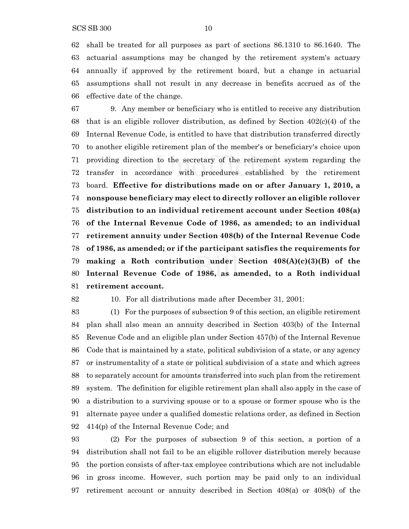shall be treated for all purposes as part of sections 86.1310 to 86.1640. The actuarial assumptions may be changed by the retirement system's actuary annually if approved by the retirement board, but a change in actuarial assumptions shall not result in any decrease in benefits accrued as of the effective date of the change.

 9. Any member or beneficiary who is entitled to receive any distribution that is an eligible rollover distribution, as defined by Section 402(c)(4) of the Internal Revenue Code, is entitled to have that distribution transferred directly to another eligible retirement plan of the member's or beneficiary's choice upon providing direction to the secretary of the retirement system regarding the transfer in accordance with procedures established by the retirement board. **Effective for distributions made on or after January 1, 2010, a nonspouse beneficiary may elect to directly rollover an eligible rollover distribution to an individual retirement account under Section 408(a) of the Internal Revenue Code of 1986, as amended; to an individual retirement annuity under Section 408(b) of the Internal Revenue Code of 1986, as amended; or if the participant satisfies the requirements for making a Roth contribution under Section 408(A)(c)(3)(B) of the Internal Revenue Code of 1986, as amended, to a Roth individual retirement account.**

### 10. For all distributions made after December 31, 2001:

 (1) For the purposes of subsection 9 of this section, an eligible retirement plan shall also mean an annuity described in Section 403(b) of the Internal Revenue Code and an eligible plan under Section 457(b) of the Internal Revenue Code that is maintained by a state, political subdivision of a state, or any agency or instrumentality of a state or political subdivision of a state and which agrees to separately account for amounts transferred into such plan from the retirement system. The definition for eligible retirement plan shall also apply in the case of a distribution to a surviving spouse or to a spouse or former spouse who is the alternate payee under a qualified domestic relations order, as defined in Section 414(p) of the Internal Revenue Code; and

 (2) For the purposes of subsection 9 of this section, a portion of a distribution shall not fail to be an eligible rollover distribution merely because the portion consists of after-tax employee contributions which are not includable in gross income. However, such portion may be paid only to an individual retirement account or annuity described in Section 408(a) or 408(b) of the